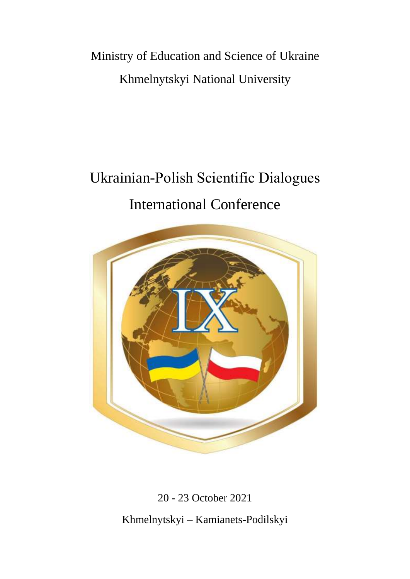Ministry of Education and Science of Ukraine Khmelnytskyi National University

# Ukrainian-Рolish Scientific Dialogues International Conference



20 - 23 October 2021

Khmelnytskyi – Kamianets-Podilskyi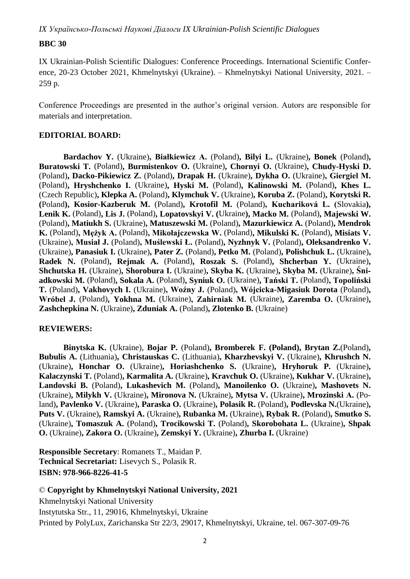# **BBC 30**

IX Ukrainian-Polish Scientific Dialogues: Conference Proceedings. International Scientific Conference, 20-23 October 2021, Khmelnytskyi (Ukraine). – Khmelnytskyi National University, 2021. – 259 p.

Conference Proceedings are presented in the author's original version. Autors are responsible for materials and interpretation.

### **EDITORIAL BOARD:**

**Bardachov Y.** (Ukraine)**, Białkiewicz A.** (Poland)**, Bilyi L.** (Ukraine)**, Bonek** (Poland)**, Buratowski T.** (Poland)**, Burmistenkov O.** (Ukraine)**, Chornyi O.** (Ukraine)**, Chudy-Hyski D.**  (Poland)**, Dacko-Pikiewicz Z.** (Poland)**, Drapak H.** (Ukraine)**, Dykha O.** (Ukraine)**, Giergiel М.**  (Poland)**, Hryshchenko I.** (Ukraine)**, Hyski M.** (Poland)**, Kalinowski M.** (Poland)**, Khes L.**  (Czech Republic)**, Klepka A.** (Poland)**, Klymchuk V.** (Ukraine)**, Koruba Z.** (Poland)**, Korytski R. (**Poland**), Kosior-Kazberuk M.** (Poland)**, Krotofil M.** (Poland)**, Kuchariková L. (**Slovakia**), Lenik K.** (Poland)**, Lis J.** (Poland)**, Lopatovskyi V. (**Ukraine**), Macko M.** (Poland)**, Majewski W.**  (Poland)**, Matiukh S.** (Ukraine)**, Matuszewski M.** (Poland)**, Mazurkiewicz A.** (Poland)**, Mendrok K.** (Poland)**, Mężyk A.** (Poland)**, Mikołajczewska W.** (Poland)**, Mikulski K.** (Poland)**, Misiats V.**  (Ukraine)**, Musiał J.** (Poland)**, Muślewski Ł.** (Poland)**, Nyzhnyk V.** (Poland)**, Oleksandrenko V.**  (Ukraine)**, Panasiuk I.** (Ukraine)**, Pater Z.** (Poland)**, Petko M.** (Poland)**, Polishchuk L.** (Ukraine)**, Radek N.** (Poland)**, Rejmak A.** (Poland)**, Roszak S.** (Poland)**, Shcherban Y.** (Ukraine)**, Shchutska H.** (Ukraine)**, Shorobura I.** (Ukraine)**, Skyba K.** (Ukraine)**, Skyba M.** (Ukraine)**, Śniadkowski M.** (Poland)**, Sokala A.** (Poland)**, Syniuk O.** (Ukraine)**, Tański Т.** (Poland)**, Topoliński T.** (Poland)**, Vakhovych I.** (Ukraine)**, Woźny J.** (Poland)**, Wójcicka-Migasiuk Dorota** (Poland)**, Wróbel J.** (Poland)**, Yokhna M.** (Ukraine)**, Zahirniak М.** (Ukraine)**, Zaremba O.** (Ukraine)**, Zashchepkina N.** (Ukraine)**, Zduniak A.** (Poland)**, Zlotenko B.** (Ukraine)

# **REVIEWERS:**

**Binytska K.** (Ukraine), **Bojar P.** (Poland)**, Bromberek F. (Poland), Brytan Z.**(Poland)**, Bubulis A.** (Lithuania)**, Christauskas C.** (Lithuania)**, Kharzhevskyi V.** (Ukraine)**, Khrushch N.**  (Ukraine)**, Honchar O.** (Ukraine)**, Horiashchenko S.** (Ukraine)**, Hryhoruk P.** (Ukraine)**, Kalaczynski T.** (Poland)**, Karmalita A.** (Ukraine)**, Kravchuk O.** (Ukraine)**, Kukhar V.** (Ukraine)**, Landovski B.** (Poland)**, Lukashevich M.** (Poland)**, Manoilenko O.** (Ukraine)**, Mashovets N.**  (Ukraine)**, Milykh V.** (Ukraine)**, Mironova N.** (Ukraine)**, Mytsa V.** (Ukraine)**, Mrozinski А.** (Poland)**, Pavlenko V.** (Ukraine)**, Paraska O.** (Ukraine)**, Polasik R.** (Poland)**, Podlevska N.**(Ukraine)**, Puts V.** (Ukraine)**, Ramskyi A.** (Ukraine)**, Rubanka M.** (Ukraine)**, Rybak R.** (Poland)**, Smutko S.**  (Ukraine)**, Tomaszuk A.** (Poland)**, Trocikowski T.** (Poland)**, Skorobohata L.** (Ukraine)**, Shpak O.** (Ukraine)**, Zakora O.** (Ukraine)**, Zemskyi Y.** (Ukraine)**, Zhurba I.** (Ukraine)

**Responsible Secretary**: Romanets T., Maidan P. **Technical Secretariat:** Lisevych S., Polasik R. **ISBN: 978-966-8226-41-5**

# © **Copyright by Khmelnytskyi National University, 2021**

Khmelnytskyi National University Instytutska Str., 11, 29016, Khmelnytskyi, Ukraine Printed by PolyLux, Zarichanska Str 22/3, 29017, Khmelnytskyi, Ukraine, tel. 067-307-09-76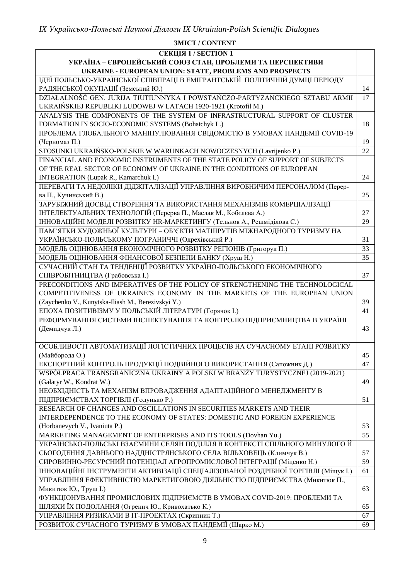#### **ЗМІСТ / CONTENT СЕКЦІЯ 1 / SECTION 1 УКРАЇНА – ЄВРОПЕЙСЬКИЙ СОЮЗ СТАН, ПРОБЛЕМИ ТА ПЕРСПЕКТИВИ UKRAINE - EUROPEAN UNION: STATE, PROBLEMS AND PROSPECTS** ІДЕЇ ПОЛЬСЬКО-УКРАЇНСЬКОЇ СПІВПРАЦІ В ЕМІГРАНТСЬКІЙ ПОЛІТИЧНІЙ ДУМЦІ ПЕРІОДУ РАЛЯНСЬКОЇ ОКУПАШІЇ (Земський Ю.) 14 DZIAŁALNOŚĆ GEN. JURIJA TIUTIUNNYKA I POWSTAŃCZO-PARTYZANCKIEGO SZTABU ARMII UKRAIŃSKIEJ REPUBLIKI LUDOWEJ W LATACH 1920-1921 (Krotofil М.) 17 ANALYSIS THE COMPONENTS OF THE SYSTEM OF INFRASTRUCTURAL SUPPORT OF CLUSTER FORMATION IN SOCIO-ECONOMIC SYSTEMS (Bohatchyk L.) 18 ПРОБЛЕМА ГЛОБАЛЬНОГО МАНІПУЛЮВАННЯ СВІДОМІСТЮ В УМОВАХ ПАНДЕМІЇ COVID-19 (Черномаз П.) 19 STOSUNKI UKRAIŃSKO-POLSKIE W WARUNKACH NOWOCZESNYCH (Lavrijenko P.) 22 FINANCIAL AND ECONOMIC INSTRUMENTS OF THE STATE POLICY OF SUPPORT OF SUBJECTS OF THE REAL SECTOR OF ECONOMY OF UKRAINE IN THE CONDITIONS OF EUROPEAN INTEGRATION (Lupak R., Kamarchuk I.) 24 ПЕРЕВАГИ ТА НЕДОЛІКИ ДІДЖІТАЛІЗАЦІЇ УПРАВЛІННЯ ВИРОБНИЧИМ ПЕРСОНАЛОМ (Перерва П., Кучинський В.) 25 ЗАРУБІЖНИЙ ДОСВІД СТВОРЕННЯ ТА ВИКОРИСТАННЯ МЕХАНІЗМІВ КОМЕРЦІАЛІЗАЦІЇ ІНТЕЛЕКТУАЛЬНИХ ТЕХНОЛОГІЙ (Перерва П., Маслак М., Кобєлєва А.) 27 ІННОВАЦІЙНІ МОДЕЛІ РОЗВИТКУ HR-МАРКЕТИНГУ (Тельнов А., Решміділова С.) 29 ПАМ'ЯТКИ ХУДОЖНЬОЇ КУЛЬТУРИ – ОБ'ЄКТИ МАТШРУТІВ МІЖНАРОДНОГО ТУРИЗМУ НА УКРАЇНСЬКО-ПОЛЬСЬКОМУ ПОГРАНИЧЧІ (Одрехівський Р.) 31 МОДЕЛЬ ОЦІНЮВАННЯ ЕКОНОМІЧНОГО РОЗВИТКУ РЕГІОНІВ (Григорук П.) 33 МОДЕЛЬ ОЦІНЮВАННЯ ФІНАНСОВОЇ БЕЗПЕПИ БАНКУ (Хрущ Н.) 35 СУЧАСНИЙ СТАН ТА ТЕНДЕНЦІЇ РОЗВИТКУ УКРАЇНО-ПОЛЬСЬКОГО ЕКОНОМІЧНОГО СПІВРОБІТНИЦТВА (Грабовська І.) 37 PRECONDITIONS AND IMPERATIVES OF THE POLICY OF STRENGTHENING THE TECHNOLOGICAL COMPETITIVENESS OF UKRAINE'S ECONOMY IN THE MARKETS OF THE EUROPEAN UNION (Zaychenko V., Kunytska-Iliash M., Berezivskyi Y.) 39 ЕПОХА ПОЗИТИВІЗМУ У ПОЛЬСЬКІЙ ЛІТЕРАТУРІ (Горячок І.) 41 РЕФОРМУВАННЯ СИСТЕМИ ІНСПЕКТУВАННЯ ТА КОНТРОЛЮ ПІДПРИЄМНИЦТВА В УКРАЇНІ (Демидчук Л.) 43 ОСОБЛИВОСТІ АВТОМАТИЗАЦІЇ ЛОГІСТИЧНИХ ПРОЦЕСІВ НА СУЧАСНОМУ ЕТАПІ РОЗВИТКУ (Майборода О.) 45 ЕКСПОРТНИЙ КОНТРОЛЬ ПРОДУКЦІЇ ПОДВІЙНОГО ВИКОРИСТАННЯ (Сапожник Д.) 47 WSPÓŁPRACA TRANSGRANICZNA UKRAINY A POLSKI W BRANŻY TURYSTYCZNEJ (2019-2021) (Gałatyr W., Kondrat W.) 49 НЕОБХІДНІСТЬ ТА МЕХАНІЗМ ВПРОВАДЖЕННЯ АДАПТАЦІЙНОГО МЕНЕДЖМЕНТУ В ПІДПРИЄМСТВАХ ТОРГІВЛІ (Годунько Р.) 51 RESEARCH OF CHANGES AND OSCILLATIONS IN SECURITIES MARKETS AND THEIR INTERDEPENDENCE TO THE ECONOMY OF STATES: DOMESTIC AND FOREIGN EXPERIENCE (Horbanevych V., Ivaniuta P.) 53 MARKETING MANAGEMENT OF ENTERPRISES AND ITS TOOLS (Dovhan Yu.) 55 УКРАЇНСЬКО-ПОЛЬСЬКІ ВЗАЄМИНИ СЕЛЯН ПОДІЛЛЯ В КОНТЕКСТІ СПІЛЬНОГО МИНУЛОГО Й СЬОГОДЕННЯ ДАВНЬОГО НАДДНІСТРЯНСЬКОГО СЕЛА ВІЛЬХОВЕЦЬ (Климчук В.) 57 СИРОВИННО-РЕСУРСНИЙ ПОТЕНЦІАЛ АГРОПРОМИСЛОВОЇ ІНТЕГРАЦІЇ (Міценко Н.) 59 ІННОВАЦІЙНІ ІНСТРУМЕНТИ АКТИВІЗАЦІЇ СПЕЦІАЛІЗОВАНОЇ РОЗДРІБНОЇ ТОРГІВЛІ (Міщук І.) 61 УПРАВЛІННЯ ЕФЕКТИВНІСТЮ МАРКЕТИГОВОЮ ДІЯЛЬНІСТЮ ПІДПРИЄМСТВА (Микитюк П., Микитюк Ю., Труш I.) 63 ФУНКЦІОНУВАННЯ ПРОМИСЛОВИХ ПІДПРИЄМСТВ В УМОВАХ COVID-2019: ПРОБЛЕМИ ТА ШЛЯХИ ЇХ ПОДОЛАННЯ (Огренич Ю., Кривохатько К.) 65 УПРАВЛІННЯ РИЗИКАМИ В ІТ-ПРОЕКТАХ (Скрипник Т.) 67 РОЗВИТОК СУЧАСНОГО ТУРИЗМУ В УМОВАХ ПАНДЕМІЇ (Шарко М.) 69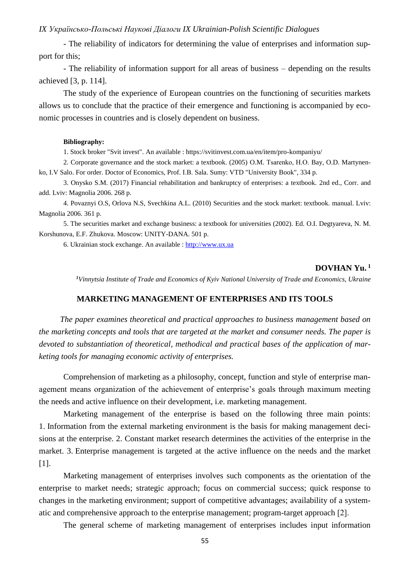- The reliability of indicators for determining the value of enterprises and information support for this;

- The reliability of information support for all areas of business – depending on the results achieved [3, p. 114].

The study of the experience of European countries on the functioning of securities markets allows us to conclude that the practice of their emergence and functioning is accompanied by economic processes in countries and is closely dependent on business.

#### **Bibliography:**

1. Stock broker "Svit invest". An available : https://svitinvest.com.ua/en/item/pro-kompaniyu/

2. Corporate governance and the stock market: a textbook. (2005) O.M. Tsarenko, Н.О. Bay, O.D. Martynenko, I.V Salo. For order. Doctor of Economics, Prof. І.В. Sala. Sumy: VTD "University Book", 334 p.

3. Onysko S.M. (2017) Financial rehabilitation and bankruptcy of enterprises: a textbook. 2nd ed., Corr. and add. Lviv: Magnolia 2006. 268 p.

4. Povaznyi O.S, Orlova N.S, Svechkina A.L. (2010) Securities and the stock market: textbook. manual. Lviv: Magnolia 2006. 361 p.

5. The securities market and exchange business: a textbook for universities (2002). Ed. O.I. Degtyareva, N. M. Korshunova, E.F. Zhukova. Moscow: UNITY-DANA. 501 p.

6. Ukrainian stock exchange. An available : [http://www.ux.ua](http://www.ux.ua/)

#### **DOVHAN Yu. 1**

*<sup>1</sup>Vinnytsia Institute of Trade and Economics of Kyiv National University of Trade and Economics, Ukraine*

#### **MARKETING MANAGEMENT OF ENTERPRISES AND ITS TOOLS**

*The paper examines theoretical and practical approaches to business management based on the marketing concepts and tools that are targeted at the market and consumer needs. The paper is devoted to substantiation of theoretical, methodical and practical bases of the application of marketing tools for managing economic activity of enterprises.*

Comprehension of marketing as a philosophy, concept, function and style of enterprise management means organization of the achievement of enterprise's goals through maximum meeting the needs and active influence on their development, i.e. marketing management.

Marketing management of the enterprise is based on the following three main points: 1. Information from the external marketing environment is the basis for making management decisions at the enterprise. 2. Constant market research determines the activities of the enterprise in the market. 3. Enterprise management is targeted at the active influence on the needs and the market [1].

Marketing management of enterprises involves such components as the orientation of the enterprise to market needs; strategic approach; focus on commercial success; quick response to changes in the marketing environment; support of competitive advantages; availability of a systematic and comprehensive approach to the enterprise management; program-target approach [2].

The general scheme of marketing management of enterprises includes input information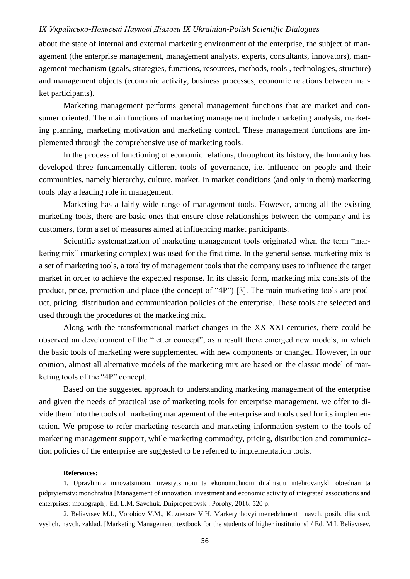about the state of internal and external marketing environment of the enterprise, the subject of management (the enterprise management, management analysts, experts, consultants, innovators), management mechanism (goals, strategies, functions, resources, methods, tools , technologies, structure) and management objects (economic activity, business processes, economic relations between market participants).

Marketing management performs general management functions that are market and consumer oriented. The main functions of marketing management include marketing analysis, marketing planning, marketing motivation and marketing control. These management functions are implemented through the comprehensive use of marketing tools.

In the process of functioning of economic relations, throughout its history, the humanity has developed three fundamentally different tools of governance, i.e. influence on people and their communities, namely hierarchy, culture, market. In market conditions (and only in them) marketing tools play a leading role in management.

Marketing has a fairly wide range of management tools. However, among all the existing marketing tools, there are basic ones that ensure close relationships between the company and its customers, form a set of measures aimed at influencing market participants.

Scientific systematization of marketing management tools originated when the term "marketing mix" (marketing complex) was used for the first time. In the general sense, marketing mix is a set of marketing tools, a totality of management tools that the company uses to influence the target market in order to achieve the expected response. In its classic form, marketing mix consists of the product, price, promotion and place (the concept of "4P") [3]. The main marketing tools are product, pricing, distribution and communication policies of the enterprise. These tools are selected and used through the procedures of the marketing mix.

Along with the transformational market changes in the XX-XXI centuries, there could be observed an development of the "letter concept", as a result there emerged new models, in which the basic tools of marketing were supplemented with new components or changed. However, in our opinion, almost all alternative models of the marketing mix are based on the classic model of marketing tools of the "4P" concept.

Based on the suggested approach to understanding marketing management of the enterprise and given the needs of practical use of marketing tools for enterprise management, we offer to divide them into the tools of marketing management of the enterprise and tools used for its implementation. We propose to refer marketing research and marketing information system to the tools of marketing management support, while marketing commodity, pricing, distribution and communication policies of the enterprise are suggested to be referred to implementation tools.

#### **References:**

1. Upravlinnia innovatsiinoiu, investytsiinoiu ta ekonomichnoiu diialnistiu intehrovanykh obiednan ta pidpryiemstv: monohrafiia [Management of innovation, investment and economic activity of integrated associations and enterprises: monograph]. Ed. L.M. Savchuk. Dnipropetrovsk : Porohy, 2016. 520 p.

2. Beliavtsev M.I., Vorobiov V.M., Kuznetsov V.H. Marketynhovyi menedzhment : navch. posib. dlia stud. vyshch. navch. zaklad. [Marketing Management: textbook for the students of higher institutions] / Ed. M.I. Beliavtsev,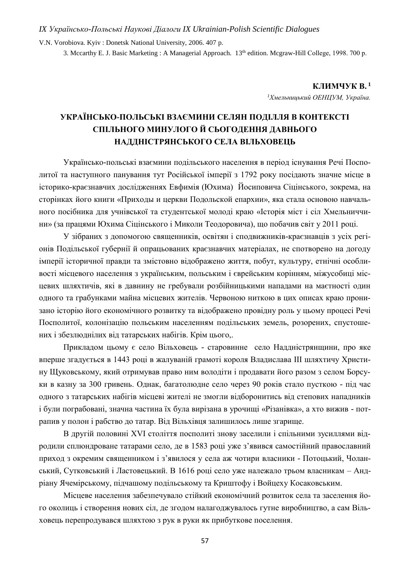V.N. Vorobiova. Kyiv : Donetsk National University, 2006. 407 p.

3. Mccarthy E. J. Basic Marketing : A Managerial Approach. 13<sup>th</sup> edition. Mcgraw-Hill College, 1998. 700 p.

**КЛИМЧУК В. <sup>1</sup>**

*<sup>1</sup>Хмельницький ОЕНЦУМ, Україна.*

# **УКРАЇНСЬКО-ПОЛЬСЬКІ ВЗАЄМИНИ СЕЛЯН ПОДІЛЛЯ В КОНТЕКСТІ СПІЛЬНОГО МИНУЛОГО Й СЬОГОДЕННЯ ДАВНЬОГО НАДДНІСТРЯНСЬКОГО СЕЛА ВІЛЬХОВЕЦЬ**

Українсько-польські взаємини подільського населення в період існування Речі Посполитої та наступного панування тут Російської імперії з 1792 року посідають значне місце в історико-краєзнавчих дослідженнях Евфимія (Юхима) Йосиповича Сіцінського, зокрема, на сторінках його книги «Приходы и церкви Подольской епархии», яка стала основою навчального посібника для учнівської та студентської молоді краю «Історія міст і сіл Хмельниччини» (за працями Юхима Сіцінського і Миколи Теодоровича), що побачив світ у 2011 році.

У зібраних з допомогою священників, освітян і сподвижників-краєзнавців з усіх регіонів Подільської губернії й опрацьованих краєзнавчих матеріалах, не спотворено на догоду імперії історичної правди та змістовно відображено життя, побут, культуру, етнічні особливості місцевого населення з українським, польським і єврейським корінням, міжусобиці місцевих шляхтичів, які в давнину не гребували розбійницькими нападами на маєтності один одного та грабунками майна місцевих жителів. Червоною ниткою в цих описах краю пронизано історію його економічного розвитку та відображено провідну роль у цьому процесі Речі Посполитої, колонізацію польським населенням подільських земель, розорених, спустошених і збезлюднілих від татарських набігів. Крім цього,.

Прикладом цьому є село Вільховець - старовинне село Наддністрянщини, про яке вперше згадується в 1443 році в жалуваній грамоті короля Владислава ІІІ шляхтичу Христину Щуковському, який отримував право ним володіти і продавати його разом з селом Борсуки в казну за 300 гривень. Однак, багатолюдне село через 90 років стало пусткою - під час одного з татарських набігів місцеві жителі не змогли відборонитись від степових нападників і були пограбовані, значна частина їх була вирізана в урочищі «Різанівка», а хто вижив - потрапив у полон і рабство до татар. Від Вільхівця залишилось лише згарище.

В другій половині ХVІ століття посполиті знову заселили і спільними зусиллями відродили сплюндроване татарами село, де в 1583 році уже з'явився самостійний православний приход з окремим священником і з'явилося у села аж чотири власники - Потоцький, Чоланський, Сутковський і Ластовецький. В 1616 році село уже належало трьом власникам – Андріану Ячемірському, підчашому подільському та Криштофу і Войцеху Косаковським.

Місцеве населення забезпечувало стійкий економічний розвиток села та заселення його околиць і створення нових сіл, де згодом налагоджувалось гутне виробництво, а сам Вільховець перепродувався шляхтою з рук в руки як прибуткове поселення.